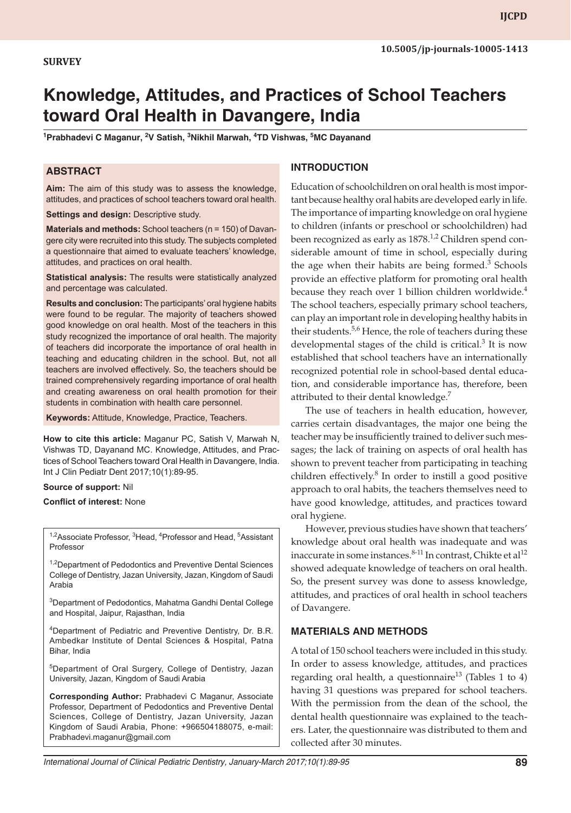# **Knowledge, Attitudes, and Practices of School Teachers toward Oral Health in Davangere, India**

<sup>1</sup>Prabhadevi C Maganur, <sup>2</sup>V Satish, <sup>3</sup>Nikhil Marwah, <sup>4</sup>TD Vishwas, <sup>5</sup>MC Dayanand

## **ABSTRACT**

**Aim:** The aim of this study was to assess the knowledge, attitudes, and practices of school teachers toward oral health.

**Settings and design:** Descriptive study.

**Materials and methods:** School teachers (n = 150) of Davangere city were recruited into this study. The subjects completed a questionnaire that aimed to evaluate teachers' knowledge, attitudes, and practices on oral health.

**Statistical analysis:** The results were statistically analyzed and percentage was calculated.

**Results and conclusion:** The participants' oral hygiene habits were found to be regular. The majority of teachers showed good knowledge on oral health. Most of the teachers in this study recognized the importance of oral health. The majority of teachers did incorporate the importance of oral health in teaching and educating children in the school. But, not all teachers are involved effectively. So, the teachers should be trained comprehensively regarding importance of oral health and creating awareness on oral health promotion for their students in combination with health care personnel.

**Keywords:** Attitude, Knowledge, Practice, Teachers.

**How to cite this article:** Maganur PC, Satish V, Marwah N, Vishwas TD, Dayanand MC. Knowledge, Attitudes, and Practices of School Teachers toward Oral Health in Davangere, India. Int J Clin Pediatr Dent 2017;10(1):89-95.

#### **Source of support:** Nil

**Conflict of interest:** None

<sup>1,2</sup>Associate Professor, <sup>3</sup>Head, <sup>4</sup>Professor and Head, <sup>5</sup>Assistant Professor

<sup>1,2</sup>Department of Pedodontics and Preventive Dental Sciences College of Dentistry, Jazan University, Jazan, Kingdom of Saudi Arabia

3 Department of Pedodontics, Mahatma Gandhi Dental College and Hospital, Jaipur, Rajasthan, India

4 Department of Pediatric and Preventive Dentistry, Dr. B.R. Ambedkar Institute of Dental Sciences & Hospital, Patna Bihar, India

5Department of Oral Surgery, College of Dentistry, Jazan University, Jazan, Kingdom of Saudi Arabia

**Corresponding Author:** Prabhadevi C Maganur, Associate Professor, Department of Pedodontics and Preventive Dental Sciences, College of Dentistry, Jazan University, Jazan Kingdom of Saudi Arabia, Phone: +966504188075, e-mail: Prabhadevi.maganur@gmail.com

## **INTRODUCTION**

Education of schoolchildren on oral health is most important because healthy oral habits are developed early in life. The importance of imparting knowledge on oral hygiene to children (infants or preschool or schoolchildren) had been recognized as early as 1878.<sup>1,2</sup> Children spend considerable amount of time in school, especially during the age when their habits are being formed. $3$  Schools provide an effective platform for promoting oral health because they reach over 1 billion children worldwide. $4$ The school teachers, especially primary school teachers, can play an important role in developing healthy habits in their students.<sup>5,6</sup> Hence, the role of teachers during these developmental stages of the child is critical. $3$  It is now established that school teachers have an internationally recognized potential role in school-based dental education, and considerable importance has, therefore, been attributed to their dental knowledge.<sup>7</sup>

The use of teachers in health education, however, carries certain disadvantages, the major one being the teacher may be insufficiently trained to deliver such messages; the lack of training on aspects of oral health has shown to prevent teacher from participating in teaching children effectively.<sup>8</sup> In order to instill a good positive approach to oral habits, the teachers themselves need to have good knowledge, attitudes, and practices toward oral hygiene.

However, previous studies have shown that teachers' knowledge about oral health was inadequate and was inaccurate in some instances.<sup>8-11</sup> In contrast, Chikte et al<sup>12</sup> showed adequate knowledge of teachers on oral health. So, the present survey was done to assess knowledge, attitudes, and practices of oral health in school teachers of Davangere.

### **MATERIALS AND METHODS**

A total of 150 school teachers were included in this study. In order to assess knowledge, attitudes, and practices regarding oral health, a questionnaire $^{13}$  (Tables 1 to 4) having 31 questions was prepared for school teachers. With the permission from the dean of the school, the dental health questionnaire was explained to the teachers. Later, the questionnaire was distributed to them and collected after 30 minutes.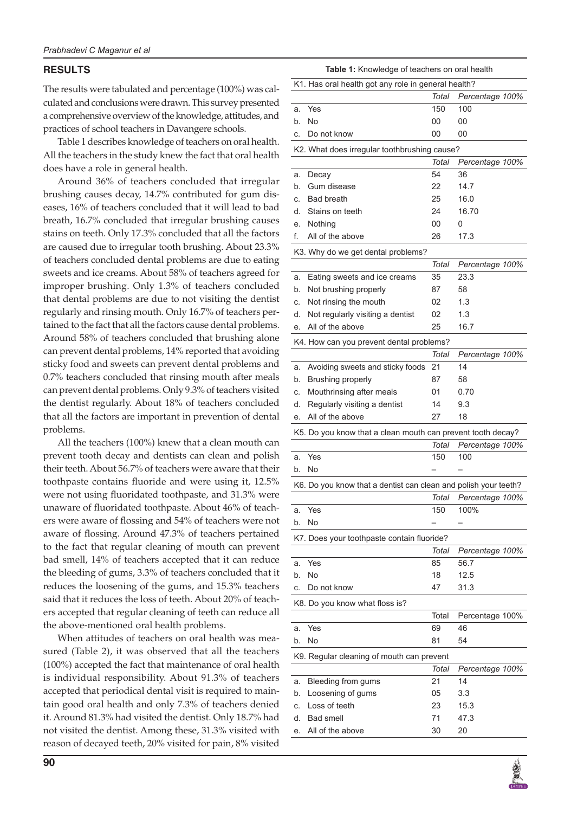## **RESULTS**

The results were tabulated and percentage (100%) was calculated and conclusions were drawn. This survey presented a comprehensive overview of the knowledge, attitudes, and practices of school teachers in Davangere schools.

Table 1 describes knowledge of teachers on oral health. All the teachers in the study knew the fact that oral health does have a role in general health.

Around 36% of teachers concluded that irregular brushing causes decay, 14.7% contributed for gum diseases, 16% of teachers concluded that it will lead to bad breath, 16.7% concluded that irregular brushing causes stains on teeth. Only 17.3% concluded that all the factors are caused due to irregular tooth brushing. About 23.3% of teachers concluded dental problems are due to eating sweets and ice creams. About 58% of teachers agreed for improper brushing. Only 1.3% of teachers concluded that dental problems are due to not visiting the dentist regularly and rinsing mouth. Only 16.7% of teachers pertained to the fact that all the factors cause dental problems. Around 58% of teachers concluded that brushing alone can prevent dental problems, 14% reported that avoiding sticky food and sweets can prevent dental problems and 0.7% teachers concluded that rinsing mouth after meals can prevent dental problems. Only 9.3% of teachers visited the dentist regularly. About 18% of teachers concluded that all the factors are important in prevention of dental problems.

All the teachers (100%) knew that a clean mouth can prevent tooth decay and dentists can clean and polish their teeth. About 56.7% of teachers were aware that their toothpaste contains fluoride and were using it, 12.5% were not using fluoridated toothpaste, and 31.3% were unaware of fluoridated toothpaste. About 46% of teachers were aware of flossing and 54% of teachers were not aware of flossing. Around 47.3% of teachers pertained to the fact that regular cleaning of mouth can prevent bad smell, 14% of teachers accepted that it can reduce the bleeding of gums, 3.3% of teachers concluded that it reduces the loosening of the gums, and 15.3% teachers said that it reduces the loss of teeth. About 20% of teachers accepted that regular cleaning of teeth can reduce all the above-mentioned oral health problems.

When attitudes of teachers on oral health was measured (Table 2), it was observed that all the teachers (100%) accepted the fact that maintenance of oral health is individual responsibility. About 91.3% of teachers accepted that periodical dental visit is required to maintain good oral health and only 7.3% of teachers denied it. Around 81.3% had visited the dentist. Only 18.7% had not visited the dentist. Among these, 31.3% visited with reason of decayed teeth, 20% visited for pain, 8% visited

|          | Table 1: Knowledge of teachers on oral health                   |              |                         |  |
|----------|-----------------------------------------------------------------|--------------|-------------------------|--|
|          | K1. Has oral health got any role in general health?             |              |                         |  |
|          |                                                                 | Total        | Percentage 100%         |  |
| a.       | Yes                                                             | 150          | 100                     |  |
| b.       | No                                                              | 00           | 00                      |  |
| С.       | Do not know                                                     | 00           | 00                      |  |
|          | K2. What does irregular toothbrushing cause?                    |              |                         |  |
|          |                                                                 | Total        | Percentage 100%         |  |
| a.       | Decay                                                           | 54           | 36                      |  |
| b.       | Gum disease                                                     | 22           | 14.7                    |  |
| C.       | <b>Bad breath</b>                                               | 25           | 16.0                    |  |
| d.       | Stains on teeth                                                 | 24           | 16.70                   |  |
| е.       | Nothing                                                         | 00           | 0                       |  |
| f.       | All of the above                                                | 26           | 17.3                    |  |
|          |                                                                 |              |                         |  |
|          | K3. Why do we get dental problems?                              |              |                         |  |
|          |                                                                 | Total        | Percentage 100%         |  |
| а.       | Eating sweets and ice creams                                    | 35           | 23.3                    |  |
| b.       | Not brushing properly                                           | 87           | 58                      |  |
| С.       | Not rinsing the mouth                                           | 02           | 1.3                     |  |
| d.       | Not regularly visiting a dentist                                | 02           | 1.3                     |  |
| е.       | All of the above                                                | 25           | 16.7                    |  |
|          | K4. How can you prevent dental problems?                        |              |                         |  |
|          |                                                                 | Total        | Percentage 100%         |  |
| a.       | Avoiding sweets and sticky foods                                | 21           | 14                      |  |
| b.       | Brushing properly                                               | 87           | 58                      |  |
| C.       | Mouthrinsing after meals                                        | 01           | 0.70                    |  |
| d.       | Regularly visiting a dentist                                    | 14           | 9.3                     |  |
| е.       | All of the above                                                | 27           | 18                      |  |
|          | K5. Do you know that a clean mouth can prevent tooth decay?     |              |                         |  |
|          |                                                                 | Total        | Percentage 100%         |  |
| a.       | Yes                                                             | 150          | 100                     |  |
| b.       | No                                                              |              |                         |  |
|          | K6. Do you know that a dentist can clean and polish your teeth? |              |                         |  |
|          |                                                                 | Total        | Percentage 100%         |  |
| a.       | Yes                                                             | 150          | 100%                    |  |
| b.       | No                                                              |              |                         |  |
|          |                                                                 |              |                         |  |
|          | K7. Does your toothpaste contain fluoride?                      | <b>Total</b> |                         |  |
|          | Yes                                                             | 85           | Percentage 100%<br>56.7 |  |
| a.       | No                                                              | 18           | 12.5                    |  |
| b.<br>C. | Do not know                                                     | 47           | 31.3                    |  |
|          |                                                                 |              |                         |  |
|          | K8. Do you know what floss is?                                  |              |                         |  |
|          |                                                                 | Total        | Percentage 100%         |  |
| a.       | Yes                                                             | 69           | 46                      |  |
| b.       | No                                                              | 81           | 54                      |  |
|          | K9. Regular cleaning of mouth can prevent                       |              |                         |  |
|          |                                                                 | Total        | Percentage 100%         |  |
| а.       | Bleeding from gums                                              | 21           | 14                      |  |
| b.       | Loosening of gums                                               | 05           | 3.3                     |  |
| C.       | Loss of teeth                                                   | 23           | 15.3                    |  |
| d.       | <b>Bad smell</b>                                                | 71           | 47.3                    |  |
| е.       | All of the above                                                | 30           | 20                      |  |

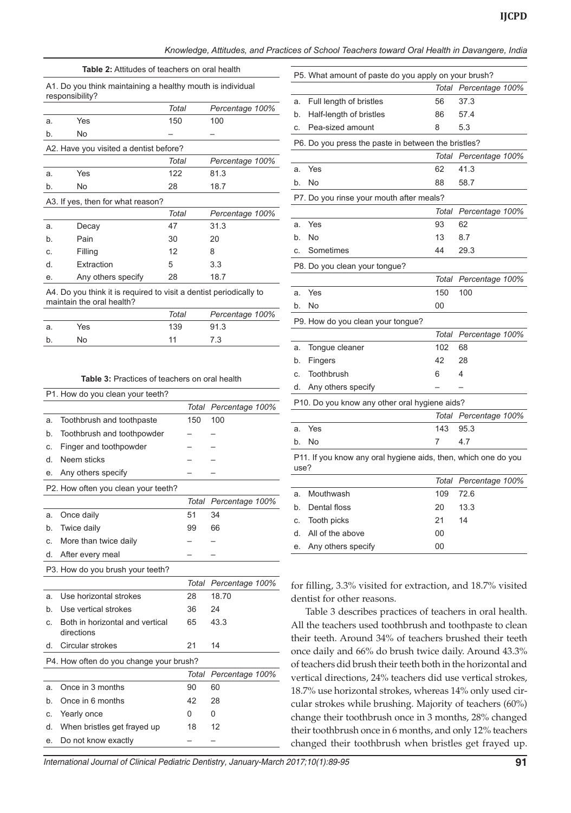*Knowledge, Attitudes, and Practices of School Teachers toward Oral Health in Davangere, India* 

| <b>Table 2:</b> Attitudes of teachers on oral health                          |                                                                    |       |                 |  |
|-------------------------------------------------------------------------------|--------------------------------------------------------------------|-------|-----------------|--|
| A1. Do you think maintaining a healthy mouth is individual<br>responsibility? |                                                                    |       |                 |  |
|                                                                               |                                                                    | Total | Percentage 100% |  |
| a.                                                                            | Yes                                                                | 150   | 100             |  |
| b.                                                                            | No                                                                 |       |                 |  |
|                                                                               | A2. Have you visited a dentist before?                             |       |                 |  |
|                                                                               |                                                                    | Total | Percentage 100% |  |
| a.                                                                            | Yes                                                                | 122   | 81.3            |  |
| b.                                                                            | No                                                                 | 28    | 18.7            |  |
|                                                                               | A3. If yes, then for what reason?                                  |       |                 |  |
|                                                                               |                                                                    | Total | Percentage 100% |  |
| a.                                                                            | Decay                                                              | 47    | 31.3            |  |
| b.                                                                            | Pain                                                               | 30    | 20              |  |
| C.                                                                            | Filling                                                            | 12    | 8               |  |
| d.                                                                            | Extraction                                                         | 5     | 3.3             |  |
| е.                                                                            | Any others specify                                                 | 28    | 18.7            |  |
|                                                                               | A A De vau think it is secuised to vieit a dentiat nesiedically to |       |                 |  |

A4. Do you think it is required to visit a dentist periodically to maintain the oral health?

|    |     | Total | Percentage 100% |
|----|-----|-------|-----------------|
| а. | Yes | 139   | 91.3            |
|    | No  | 11    | 7.3             |
|    |     |       |                 |

#### **Table 3:** Practices of teachers on oral health

|    | P1. How do you clean your teeth?              |              |                 |
|----|-----------------------------------------------|--------------|-----------------|
|    |                                               | Total        | Percentage 100% |
| a. | Toothbrush and toothpaste                     | 150          | 100             |
| b. | Toothbrush and toothpowder                    |              |                 |
| C. | Finger and toothpowder                        |              |                 |
| d. | Neem sticks                                   |              |                 |
| e. | Any others specify                            |              |                 |
|    | P2. How often you clean your teeth?           |              |                 |
|    |                                               | Total        | Percentage 100% |
| a. | Once daily                                    | 51           | 34              |
| b. | Twice daily                                   | 99           | 66              |
| C. | More than twice daily                         |              |                 |
| d. | After every meal                              |              |                 |
|    | P3. How do you brush your teeth?              |              |                 |
|    |                                               | Total        | Percentage 100% |
| a. | Use horizontal strokes                        | 28           | 18.70           |
| b. | Use vertical strokes                          | 36           | 24              |
| C. | Both in horizontal and vertical<br>directions | 65           | 43.3            |
| d. | Circular strokes                              | 21           | 14              |
|    | P4. How often do you change your brush?       |              |                 |
|    |                                               | <b>Total</b> | Percentage 100% |
| a. | Once in 3 months                              | 90           | 60              |
| b. | Once in 6 months                              | 42           | 28              |
| C. | Yearly once                                   | 0            | 0               |
| d. | When bristles get frayed up                   | 18           | 12              |
| е. | Do not know exactly                           |              |                 |
|    |                                               |              |                 |

|      | P5. What amount of paste do you apply on your brush?           |       |                 |  |
|------|----------------------------------------------------------------|-------|-----------------|--|
|      |                                                                | Total | Percentage 100% |  |
| a.   | Full length of bristles                                        | 56    | 37.3            |  |
| b.   | Half-length of bristles                                        | 86    | 57.4            |  |
| c.   | Pea-sized amount                                               | 8     | 5.3             |  |
|      | P6. Do you press the paste in between the bristles?            |       |                 |  |
|      |                                                                | Total | Percentage 100% |  |
| a.   | Yes                                                            | 62    | 41.3            |  |
| b.   | No                                                             | 88    | 58.7            |  |
|      | P7. Do you rinse your mouth after meals?                       |       |                 |  |
|      |                                                                | Total | Percentage 100% |  |
| a.   | Yes                                                            | 93    | 62              |  |
| b.   | No                                                             | 13    | 8.7             |  |
| c.   | Sometimes                                                      | 44    | 29.3            |  |
|      | P8. Do you clean your tongue?                                  |       |                 |  |
|      |                                                                | Total | Percentage 100% |  |
| a.   | Yes                                                            | 150   | 100             |  |
| b.   | No                                                             | 00    |                 |  |
|      | P9. How do you clean your tongue?                              |       |                 |  |
|      |                                                                | Total | Percentage 100% |  |
| a.   | Tongue cleaner                                                 | 102   | 68              |  |
| b.   | <b>Fingers</b>                                                 | 42    | 28              |  |
| c.   | Toothbrush                                                     | 6     | 4               |  |
| d.   | Any others specify                                             |       |                 |  |
|      | P10. Do you know any other oral hygiene aids?                  |       |                 |  |
|      |                                                                | Total | Percentage 100% |  |
| a.   | Yes                                                            | 143   | 95.3            |  |
| b.   | No                                                             | 7     | 4.7             |  |
| use? | P11. If you know any oral hygiene aids, then, which one do you |       |                 |  |
|      |                                                                | Total | Percentage 100% |  |
| a.   | Mouthwash                                                      | 109   | 72.6            |  |
| b.   | Dental floss                                                   | 20    | 13.3            |  |
| c.   | Tooth picks                                                    | 21    | 14              |  |

for filling, 3.3% visited for extraction, and 18.7% visited dentist for other reasons.

d. All of the above 00 e. Any others specify 00

Table 3 describes practices of teachers in oral health. All the teachers used toothbrush and toothpaste to clean their teeth. Around 34% of teachers brushed their teeth once daily and 66% do brush twice daily. Around 43.3% of teachers did brush their teeth both in the horizontal and vertical directions, 24% teachers did use vertical strokes, 18.7% use horizontal strokes, whereas 14% only used circular strokes while brushing. Majority of teachers (60%) change their toothbrush once in 3 months, 28% changed their toothbrush once in 6 months, and only 12% teachers changed their toothbrush when bristles get frayed up.

*International Journal of Clinical Pediatric Dentistry, January-March 2017;10(1):89-95* **91**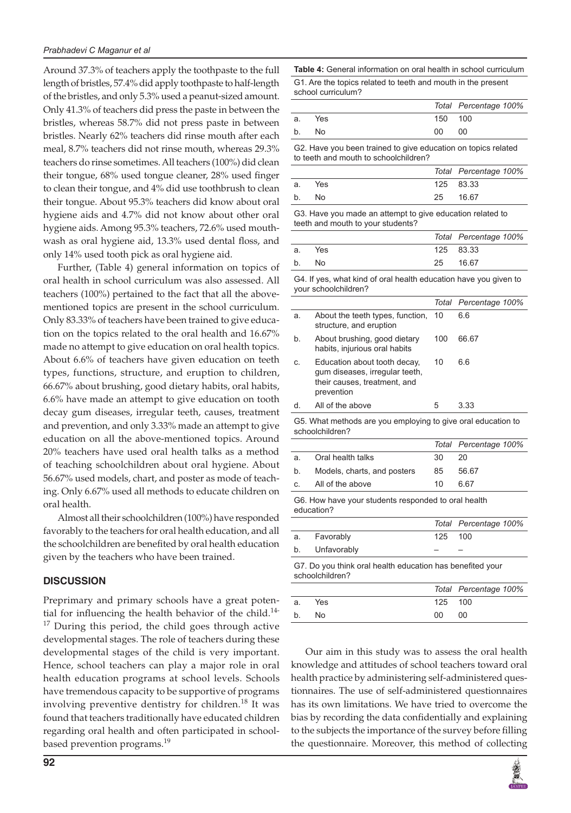Around 37.3% of teachers apply the toothpaste to the full length of bristles, 57.4% did apply toothpaste to half-length of the bristles, and only 5.3% used a peanut-sized amount. Only 41.3% of teachers did press the paste in between the bristles, whereas 58.7% did not press paste in between bristles. Nearly 62% teachers did rinse mouth after each meal, 8.7% teachers did not rinse mouth, whereas 29.3% teachers do rinse sometimes. All teachers (100%) did clean their tongue, 68% used tongue cleaner, 28% used finger to clean their tongue, and 4% did use toothbrush to clean their tongue. About 95.3% teachers did know about oral hygiene aids and 4.7% did not know about other oral hygiene aids. Among 95.3% teachers, 72.6% used mouthwash as oral hygiene aid, 13.3% used dental floss, and only 14% used tooth pick as oral hygiene aid.

Further, (Table 4) general information on topics of oral health in school curriculum was also assessed. All teachers (100%) pertained to the fact that all the abovementioned topics are present in the school curriculum. Only 83.33% of teachers have been trained to give education on the topics related to the oral health and 16.67% made no attempt to give education on oral health topics. About 6.6% of teachers have given education on teeth types, functions, structure, and eruption to children, 66.67% about brushing, good dietary habits, oral habits, 6.6% have made an attempt to give education on tooth decay gum diseases, irregular teeth, causes, treatment and prevention, and only 3.33% made an attempt to give education on all the above-mentioned topics. Around 20% teachers have used oral health talks as a method of teaching schoolchildren about oral hygiene. About 56.67% used models, chart, and poster as mode of teaching. Only 6.67% used all methods to educate children on oral health.

Almost all their schoolchildren (100%) have responded favorably to the teachers for oral health education, and all the schoolchildren are benefited by oral health education given by the teachers who have been trained.

## **DISCUSSION**

Preprimary and primary schools have a great potential for influencing the health behavior of the child.<sup>14-</sup>  $17$  During this period, the child goes through active developmental stages. The role of teachers during these developmental stages of the child is very important. Hence, school teachers can play a major role in oral health education programs at school levels. Schools have tremendous capacity to be supportive of programs involving preventive dentistry for children.<sup>18</sup> It was found that teachers traditionally have educated children regarding oral health and often participated in schoolbased prevention programs.<sup>19</sup>

**Table 4:** General information on oral health in school curriculum G1. Are the topics related to teeth and mouth in the present school curriculum?

|       |            |         | Total Percentage 100% |
|-------|------------|---------|-----------------------|
| а.    | <b>Yes</b> | 150 100 |                       |
| $b$ . | No.        | 00      | 00                    |

G2. Have you been trained to give education on topics related to teeth and mouth to schoolchildren?

|    |            |    | Total Percentage 100% |
|----|------------|----|-----------------------|
| а. | <b>Yes</b> |    | 125 83.33             |
| b. | No.        | 25 | 16.67                 |

G3. Have you made an attempt to give education related to teeth and mouth to your students?

|    |     |          | Total Percentage 100% |
|----|-----|----------|-----------------------|
| a. | Yes |          | 125 83.33             |
| b. | No. | 25 16.67 |                       |

G4. If yes, what kind of oral health education have you given to your schoolchildren?

|    |                                                                                                              |     | Total Percentage 100% |
|----|--------------------------------------------------------------------------------------------------------------|-----|-----------------------|
| a. | About the teeth types, function, 10<br>structure, and eruption                                               |     | 6.6                   |
| b. | About brushing, good dietary<br>habits, injurious oral habits                                                | 100 | 66.67                 |
| C. | Education about tooth decay.<br>gum diseases, irregular teeth,<br>their causes, treatment, and<br>prevention | 10  | 6.6                   |
|    | All of the above                                                                                             | 5   | 3.33                  |

G5. What methods are you employing to give oral education to schoolchildren?

|         |                                                   |    | Total Percentage 100% |  |
|---------|---------------------------------------------------|----|-----------------------|--|
| a.      | Oral health talks                                 | 30 | 20                    |  |
| b.      | Models, charts, and posters                       | 85 | 56.67                 |  |
| $C_{1}$ | All of the above                                  | 10 | 6.67                  |  |
|         | Co Houshous vous otudente reepended to eral booth |    |                       |  |

G6. How have your students responded to oral health education?

|                                                           |         | Total Percentage 100% |
|-----------------------------------------------------------|---------|-----------------------|
| a. Favorably                                              | 125 100 |                       |
| b. Unfavorably                                            |         |                       |
| C.7 Do vou think aral health education has benefited vour |         |                       |

G7. Do you think oral health education has benefited your schoolchildren?

|    |     |         | Total Percentage 100% |
|----|-----|---------|-----------------------|
| а. | Yes | 125 100 |                       |
| b. | No. | OO.     | 00                    |

Our aim in this study was to assess the oral health knowledge and attitudes of school teachers toward oral health practice by administering self-administered questionnaires. The use of self-administered questionnaires has its own limitations. We have tried to overcome the bias by recording the data confidentially and explaining to the subjects the importance of the survey before filling the questionnaire. Moreover, this method of collecting

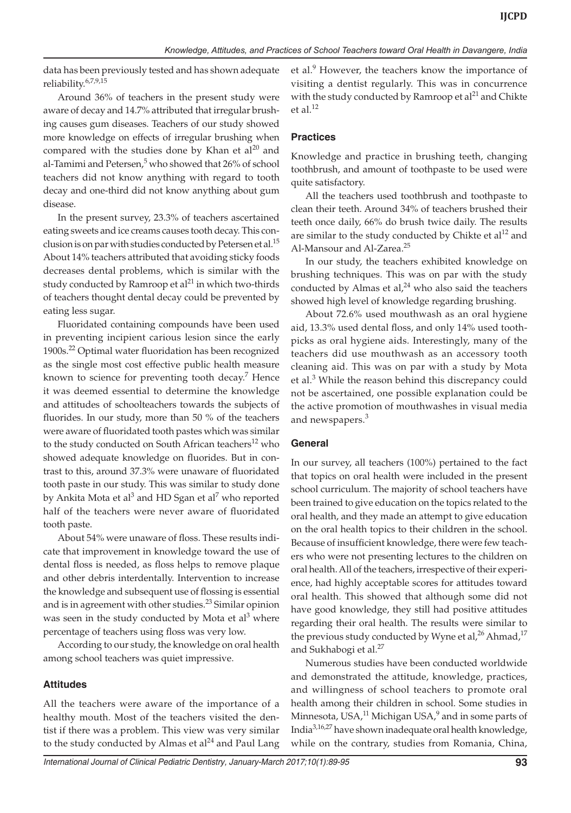data has been previously tested and has shown adequate reliability.6,7,9,15

Around 36% of teachers in the present study were aware of decay and 14.7% attributed that irregular brushing causes gum diseases. Teachers of our study showed more knowledge on effects of irregular brushing when compared with the studies done by Khan et  $al^{20}$  and al-Tamimi and Petersen,<sup>5</sup> who showed that 26% of school teachers did not know anything with regard to tooth decay and one-third did not know anything about gum disease.

In the present survey, 23.3% of teachers ascertained eating sweets and ice creams causes tooth decay. This conclusion is on par with studies conducted by Petersen et al.<sup>15</sup> About 14% teachers attributed that avoiding sticky foods decreases dental problems, which is similar with the study conducted by Ramroop et  $al<sup>21</sup>$  in which two-thirds of teachers thought dental decay could be prevented by eating less sugar.

Fluoridated containing compounds have been used in preventing incipient carious lesion since the early 1900s.<sup>22</sup> Optimal water fluoridation has been recognized as the single most cost effective public health measure known to science for preventing tooth decay.<sup>7</sup> Hence it was deemed essential to determine the knowledge and attitudes of schoolteachers towards the subjects of fluorides. In our study, more than 50 % of the teachers were aware of fluoridated tooth pastes which was similar to the study conducted on South African teachers<sup>12</sup> who showed adequate knowledge on fluorides. But in contrast to this, around 37.3% were unaware of fluoridated tooth paste in our study. This was similar to study done by Ankita Mota et al<sup>3</sup> and HD Sgan et al<sup>7</sup> who reported half of the teachers were never aware of fluoridated tooth paste.

About 54% were unaware of floss. These results indicate that improvement in knowledge toward the use of dental floss is needed, as floss helps to remove plaque and other debris interdentally. Intervention to increase the knowledge and subsequent use of flossing is essential and is in agreement with other studies.<sup>23</sup> Similar opinion was seen in the study conducted by Mota et al<sup>3</sup> where percentage of teachers using floss was very low.

According to our study, the knowledge on oral health among school teachers was quiet impressive.

# **Attitudes**

All the teachers were aware of the importance of a healthy mouth. Most of the teachers visited the dentist if there was a problem. This view was very similar to the study conducted by Almas et al $^{24}$  and Paul Lang et al.<sup>9</sup> However, the teachers know the importance of visiting a dentist regularly. This was in concurrence with the study conducted by Ramroop et  $al<sup>21</sup>$  and Chikte et al. $^{12}$ 

## **Practices**

Knowledge and practice in brushing teeth, changing toothbrush, and amount of toothpaste to be used were quite satisfactory.

All the teachers used toothbrush and toothpaste to clean their teeth. Around 34% of teachers brushed their teeth once daily, 66% do brush twice daily. The results are similar to the study conducted by Chikte et  $al<sup>12</sup>$  and Al-Mansour and Al-Zarea.<sup>25</sup>

In our study, the teachers exhibited knowledge on brushing techniques. This was on par with the study conducted by Almas et al, $^{24}$  who also said the teachers showed high level of knowledge regarding brushing.

About 72.6% used mouthwash as an oral hygiene aid, 13.3% used dental floss, and only 14% used toothpicks as oral hygiene aids. Interestingly, many of the teachers did use mouthwash as an accessory tooth cleaning aid. This was on par with a study by Mota et al.<sup>3</sup> While the reason behind this discrepancy could not be ascertained, one possible explanation could be the active promotion of mouthwashes in visual media and newspapers.<sup>3</sup>

## **General**

In our survey, all teachers (100%) pertained to the fact that topics on oral health were included in the present school curriculum. The majority of school teachers have been trained to give education on the topics related to the oral health, and they made an attempt to give education on the oral health topics to their children in the school. Because of insufficient knowledge, there were few teachers who were not presenting lectures to the children on oral health. All of the teachers, irrespective of their experience, had highly acceptable scores for attitudes toward oral health. This showed that although some did not have good knowledge, they still had positive attitudes regarding their oral health. The results were similar to the previous study conducted by Wyne et al,<sup>26</sup> Ahmad,<sup>17</sup> and Sukhabogi et al.<sup>27</sup>

Numerous studies have been conducted worldwide and demonstrated the attitude, knowledge, practices, and willingness of school teachers to promote oral health among their children in school. Some studies in Minnesota, USA, $^{11}$  Michigan USA, $^9$  and in some parts of India3,16,27 have shown inadequate oral health knowledge, while on the contrary, studies from Romania, China,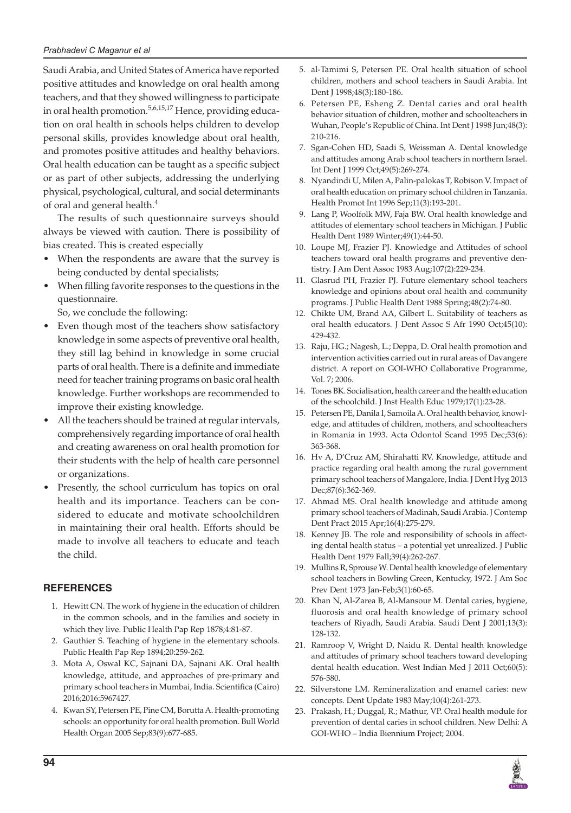Saudi Arabia, and United States of America have reported positive attitudes and knowledge on oral health among teachers, and that they showed willingness to participate in oral health promotion.<sup>5,6,15,17</sup> Hence, providing education on oral health in schools helps children to develop personal skills, provides knowledge about oral health, and promotes positive attitudes and healthy behaviors. Oral health education can be taught as a specific subject or as part of other subjects, addressing the underlying physical, psychological, cultural, and social determinants of oral and general health.<sup>4</sup>

The results of such questionnaire surveys should always be viewed with caution. There is possibility of bias created. This is created especially

- When the respondents are aware that the survey is being conducted by dental specialists;
- When filling favorite responses to the questions in the questionnaire.

So, we conclude the following:

- Even though most of the teachers show satisfactory knowledge in some aspects of preventive oral health, they still lag behind in knowledge in some crucial parts of oral health. There is a definite and immediate need for teacher training programs on basic oral health knowledge. Further workshops are recommended to improve their existing knowledge.
- All the teachers should be trained at regular intervals, comprehensively regarding importance of oral health and creating awareness on oral health promotion for their students with the help of health care personnel or organizations.
- Presently, the school curriculum has topics on oral health and its importance. Teachers can be considered to educate and motivate schoolchildren in maintaining their oral health. Efforts should be made to involve all teachers to educate and teach the child.

# **REFERENCES**

- 1. Hewitt CN. The work of hygiene in the education of children in the common schools, and in the families and society in which they live. Public Health Pap Rep 1878;4:81-87.
- 2. Gauthier S. Teaching of hygiene in the elementary schools. Public Health Pap Rep 1894;20:259-262.
- 3. Mota A, Oswal KC, Sajnani DA, Sajnani AK. Oral health knowledge, attitude, and approaches of pre-primary and primary school teachers in Mumbai, India. Scientifica (Cairo) 2016;2016:5967427.
- 4. Kwan SY, Petersen PE, Pine CM, Borutta A. Health-promoting schools: an opportunity for oral health promotion. Bull World Health Organ 2005 Sep;83(9):677-685.
- 5. al-Tamimi S, Petersen PE. Oral health situation of school children, mothers and school teachers in Saudi Arabia. Int Dent J 1998;48(3):180-186.
- 6. Petersen PE, Esheng Z. Dental caries and oral health behavior situation of children, mother and schoolteachers in Wuhan, People's Republic of China. Int Dent J 1998 Jun;48(3): 210-216.
- 7. Sgan-Cohen HD, Saadi S, Weissman A. Dental knowledge and attitudes among Arab school teachers in northern Israel. Int Dent J 1999 Oct;49(5):269-274.
- 8. Nyandindi U, Milen A, Palin-palokas T, Robison V. Impact of oral health education on primary school children in Tanzania. Health Promot Int 1996 Sep;11(3):193-201.
- 9. Lang P, Woolfolk MW, Faja BW. Oral health knowledge and attitudes of elementary school teachers in Michigan. J Public Health Dent 1989 Winter;49(1):44-50.
- 10. Loupe MJ, Frazier PJ. Knowledge and Attitudes of school teachers toward oral health programs and preventive dentistry. J Am Dent Assoc 1983 Aug;107(2):229-234.
- 11. Glasrud PH, Frazier PJ. Future elementary school teachers knowledge and opinions about oral health and community programs. J Public Health Dent 1988 Spring;48(2):74-80.
- 12. Chikte UM, Brand AA, Gilbert L. Suitability of teachers as oral health educators. J Dent Assoc S Afr 1990 Oct;45(10): 429-432.
- 13. Raju, HG.; Nagesh, L.; Deppa, D. Oral health promotion and intervention activities carried out in rural areas of Davangere district. A report on GOI-WHO Collaborative Programme, Vol. 7; 2006.
- 14. Tones BK. Socialisation, health career and the health education of the schoolchild. J Inst Health Educ 1979;17(1):23-28.
- 15. Petersen PE, Danila I, Samoila A. Oral health behavior, knowledge, and attitudes of children, mothers, and schoolteachers in Romania in 1993. Acta Odontol Scand 1995 Dec;53(6): 363-368.
- 16. Hv A, D'Cruz AM, Shirahatti RV. Knowledge, attitude and practice regarding oral health among the rural government primary school teachers of Mangalore, India. J Dent Hyg 2013 Dec;87(6):362-369.
- 17. Ahmad MS. Oral health knowledge and attitude among primary school teachers of Madinah, Saudi Arabia. J Contemp Dent Pract 2015 Apr;16(4):275-279.
- 18. Kenney JB. The role and responsibility of schools in affecting dental health status – a potential yet unrealized. J Public Health Dent 1979 Fall;39(4):262-267.
- 19. Mullins R, Sprouse W. Dental health knowledge of elementary school teachers in Bowling Green, Kentucky, 1972. J Am Soc Prev Dent 1973 Jan-Feb;3(1):60-65.
- 20. Khan N, Al-Zarea B, Al-Mansour M. Dental caries, hygiene, fluorosis and oral health knowledge of primary school teachers of Riyadh, Saudi Arabia. Saudi Dent J 2001;13(3): 128-132.
- 21. Ramroop V, Wright D, Naidu R. Dental health knowledge and attitudes of primary school teachers toward developing dental health education. West Indian Med J 2011 Oct;60(5): 576-580.
- 22. Silverstone LM. Remineralization and enamel caries: new concepts. Dent Update 1983 May;10(4):261-273.
- 23. Prakash, H.; Duggal, R.; Mathur, VP. Oral health module for prevention of dental caries in school children. New Delhi: A GOI-WHO – India Biennium Project; 2004.